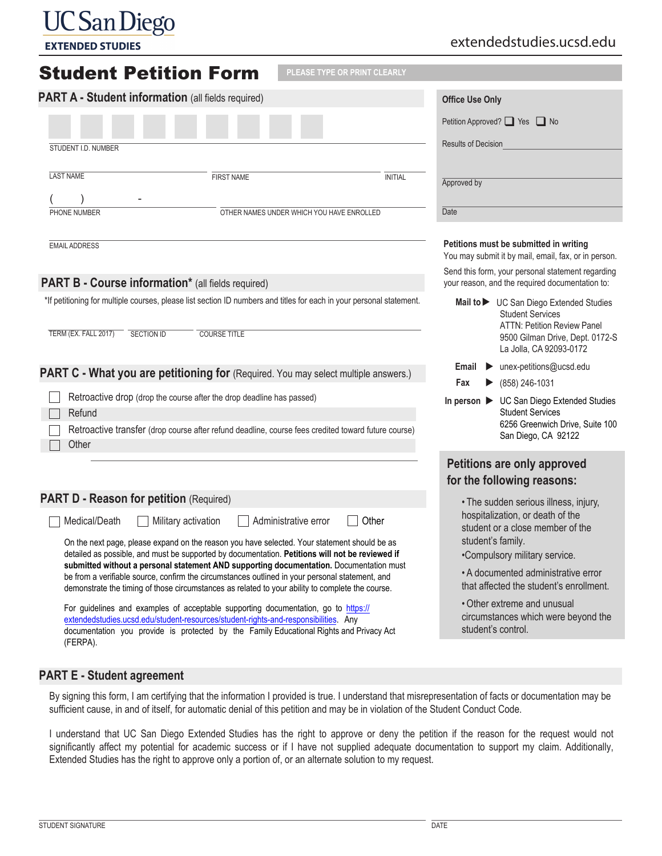## **UC** San Diego

**EXTENDED STUDIES** 

## extendedstudies.ucsd.edu

| <b>Student Petition Form</b>                                                                                                                                                                                                                                                                                                                                                                                                                                                                                                                                               |                                                                                                                                             | PLEASE TYPE OR PRINT CLEARLY |                                                                                                                                                                                                              |  |
|----------------------------------------------------------------------------------------------------------------------------------------------------------------------------------------------------------------------------------------------------------------------------------------------------------------------------------------------------------------------------------------------------------------------------------------------------------------------------------------------------------------------------------------------------------------------------|---------------------------------------------------------------------------------------------------------------------------------------------|------------------------------|--------------------------------------------------------------------------------------------------------------------------------------------------------------------------------------------------------------|--|
| PART A - Student information (all fields required)                                                                                                                                                                                                                                                                                                                                                                                                                                                                                                                         |                                                                                                                                             |                              | <b>Office Use Only</b>                                                                                                                                                                                       |  |
|                                                                                                                                                                                                                                                                                                                                                                                                                                                                                                                                                                            |                                                                                                                                             |                              | Petition Approved? ■ Yes ■ No                                                                                                                                                                                |  |
| STUDENT I.D. NUMBER                                                                                                                                                                                                                                                                                                                                                                                                                                                                                                                                                        |                                                                                                                                             |                              | <b>Results of Decision</b>                                                                                                                                                                                   |  |
| <b>LAST NAME</b>                                                                                                                                                                                                                                                                                                                                                                                                                                                                                                                                                           |                                                                                                                                             |                              |                                                                                                                                                                                                              |  |
|                                                                                                                                                                                                                                                                                                                                                                                                                                                                                                                                                                            | <b>FIRST NAME</b>                                                                                                                           | <b>INITIAL</b>               | Approved by                                                                                                                                                                                                  |  |
| PHONE NUMBER                                                                                                                                                                                                                                                                                                                                                                                                                                                                                                                                                               | OTHER NAMES UNDER WHICH YOU HAVE ENROLLED                                                                                                   |                              | Date                                                                                                                                                                                                         |  |
| <b>EMAIL ADDRESS</b>                                                                                                                                                                                                                                                                                                                                                                                                                                                                                                                                                       |                                                                                                                                             |                              | Petitions must be submitted in writing<br>You may submit it by mail, email, fax, or in person.                                                                                                               |  |
| <b>PART B - Course information*</b> (all fields required)                                                                                                                                                                                                                                                                                                                                                                                                                                                                                                                  |                                                                                                                                             |                              | Send this form, your personal statement regarding<br>your reason, and the required documentation to:                                                                                                         |  |
| TERM (EX. FALL 2017)<br><b>SECTION ID</b>                                                                                                                                                                                                                                                                                                                                                                                                                                                                                                                                  | *If petitioning for multiple courses, please list section ID numbers and titles for each in your personal statement.<br><b>COURSE TITLE</b> |                              | Mail to V UC San Diego Extended Studies<br><b>Student Services</b><br><b>ATTN: Petition Review Panel</b><br>9500 Gilman Drive, Dept. 0172-S<br>La Jolla, CA 92093-0172                                       |  |
| PART C - What you are petitioning for (Required. You may select multiple answers.)                                                                                                                                                                                                                                                                                                                                                                                                                                                                                         |                                                                                                                                             |                              | $\blacktriangleright$ unex-petitions@ucsd.edu<br>Email<br>Fax<br>(858) 246-1031                                                                                                                              |  |
| Retroactive drop (drop the course after the drop deadline has passed)                                                                                                                                                                                                                                                                                                                                                                                                                                                                                                      |                                                                                                                                             |                              | In person > UC San Diego Extended Studies<br><b>Student Services</b><br>6256 Greenwich Drive, Suite 100<br>San Diego, CA 92122                                                                               |  |
| Refund<br>Retroactive transfer (drop course after refund deadline, course fees credited toward future course)<br>Other                                                                                                                                                                                                                                                                                                                                                                                                                                                     |                                                                                                                                             |                              |                                                                                                                                                                                                              |  |
|                                                                                                                                                                                                                                                                                                                                                                                                                                                                                                                                                                            |                                                                                                                                             |                              | Petitions are only approved<br>for the following reasons:                                                                                                                                                    |  |
| <b>PART D - Reason for petition (Required)</b>                                                                                                                                                                                                                                                                                                                                                                                                                                                                                                                             |                                                                                                                                             |                              | • The sudden serious illness, injury,                                                                                                                                                                        |  |
| Other<br>Medical/Death<br>Administrative error<br>Military activation<br>On the next page, please expand on the reason you have selected. Your statement should be as<br>detailed as possible, and must be supported by documentation. Petitions will not be reviewed if<br>submitted without a personal statement AND supporting documentation. Documentation must<br>be from a verifiable source, confirm the circumstances outlined in your personal statement, and<br>demonstrate the timing of those circumstances as related to your ability to complete the course. |                                                                                                                                             |                              | hospitalization, or death of the<br>student or a close member of the<br>student's family.<br>•Compulsory military service.<br>• A documented administrative error<br>that affected the student's enrollment. |  |
| For guidelines and examples of acceptable supporting documentation, go to https://<br>extendedstudies.ucsd.edu/student-resources/student-rights-and-responsibilities. Any<br>documentation you provide is protected by the Family Educational Rights and Privacy Act<br>(FERPA).                                                                                                                                                                                                                                                                                           |                                                                                                                                             |                              | • Other extreme and unusual<br>circumstances which were beyond the<br>student's control.                                                                                                                     |  |

## **PART E - Student agreement**

By signing this form, I am certifying that the information I provided is true. I understand that misrepresentation of facts or documentation may be sufficient cause, in and of itself, for automatic denial of this petition and may be in violation of the Student Conduct Code.

I understand that UC San Diego Extended Studies has the right to approve or deny the petition if the reason for the request would not significantly affect my potential for academic success or if I have not supplied adequate documentation to support my claim. Additionally, Extended Studies has the right to approve only a portion of, or an alternate solution to my request.